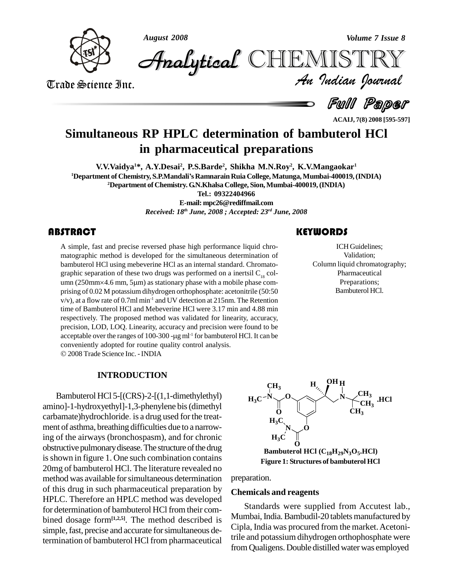

*August 2008 Volume 7 Issue 8*

Trade Science Inc. Trade Science Inc.

*Volume 7 Issue 8*<br>IISTRY<br>*Indian hournal* CHEMISTRY

Full Paper

**ACAIJ, 7(8) 2008 [595-597]**

# **Simultaneous RP HPLC determination of bambuterol HCl in pharmaceutical preparations**

**V.V.Vaidya <sup>1</sup>\*, A.Y.Desai<sup>2</sup> , P.S.Barde 2 , Shikha M.N.Roy 2 , K.V.Mangaokar 1 <sup>1</sup>Department of Chemistry, S.P.MandaliísRamnarainRuia College,Matunga,Mumbai-400019,(INDIA) <sup>2</sup>Department of Chemistry. G.N.Khalsa College, Sion,Mumbai-400019,(INDIA) Tel.: 09322404966**

> **E-mail: [mpc26@rediffmail.com](mailto:mpc26@rediffmail.com)** *Received: 18 th June, 2008 ; Accepted: 23 rd June, 2008*

# **ABSTRACT**

A simple, fast and precise<br>matographic method is do<br>bambuterol HCl using me A simple, fast and precise reversed phase high performance liquid chro matographic method is developed for the simultaneous determination of bambuterol HCl using mebeverine HCl as an internal standard. Chromato-<br>graphic separation of these two drugs was performed on a inertsil  $C_{18}$  col-<br>umn (250mm×4.6 mm, 5µm) as stationary phase with a mobile phase comprising of 0.02 M potassium dihydrogen orthophosphate: acetonitrile (50:50 v/v), at a flow rate of 0.7ml min<sup>-1</sup> and UV detection at 215nm. The Retention time of Bambuterol HCl and Mebeverine HCl were 3.17 min and 4.88 min respectively. The proposed method was validated for linearity, accuracy, precision, LOD, LOQ. Linearity, accuracy and precision were found to be respectively. The proposed method was validated<br>precision, LOD, LOQ. Linearity, accuracy and pre<br>acceptable over the ranges of 100-300 -µg ml<sup>-1</sup> for b acceptable over the ranges of 100-300 - $\mu$ g ml<sup>-1</sup> for bambuterol HCl. It can be conveniently adopted for routine quality control analysis. 2008Trade Science Inc. -INDIA

### **INTRODUCTION**

Bambuterol HCl 5-[(CRS)-2-[(1,1-dimethylethyl) amino]-1-hydroxyethyl]-1,3-phenylene bis(dimethyl carbamate)hydrochloride. is a drug used forthe treat ment of asthma, breathing difficulties due to a narrowing of the airways (bronchospasm), and for chronic obstructive pulmonary disease. The structure of the drug is shown in figure 1. One such combination contains 20mg of bambuterol HCl. The literature revealed no method was available forsimultaneous determination of this drug in such pharmaceutical preparation by HPLC. Therefore an HPLC method was developed for determination of bambuterol HCl from their com bined dosage form**[1,2,5]**. The method described is simple, fast, precise and accurate for simultaneous determination of bambuterol HCl from pharmaceutical

ICH Guidelines;<br>Validation;<br>Column liquid chromatography; ICH Guidelines; Validation; Pharmaceutical Preparations; Bambuterol HCl.



preparation.

### **Chemicals and reagents**

Standards were supplied from Accutest lab., Mumbai, India. Bambudil-20 tablets manufactured by Cipla, India was procured from the market.Acetonitrile and potassium dihydrogen orthophosphate were from Qualigens. Double distilled water was employed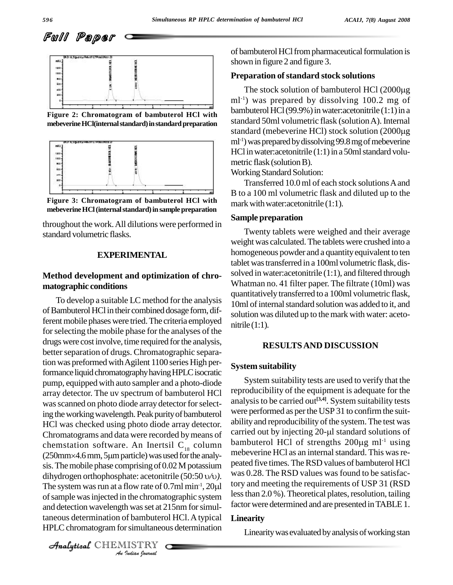



**Figure 2: Chromatogram of bambuterol HCl with**



**Figure 3: Chromatogram of bambuterol HCl with mebeverineHCl(internalstandard)insamplepreparation**

throughout the work.All dilutions were performed in standard volumetric flasks.

#### **EXPERIMENTAL**

## **Method development and optimization of chro matographic conditions**

sis. The mobile phase comprising of 0.02 M potassium people<br>dihydrogen orthophosphate: acetonitrile (50:50 v/v). <sup>We</sup><br>The system was run at a flow rate of 0.7ml min<sup>-1</sup>, 20µl *I* the chromat<br>*I* was set at 2<br>*I* is multaneou<br>*IISTRY* of sample was injected in the chromatographic system  $\frac{\text{less than }2.0}{\text{less}}$ To develop a suitable LC method for the analysis of Bambuterol HCl in their combined dosage form, different mobile phases were tried. The criteria employed for selecting the mobile phase for the analyses of the drugs were cost involve, time required forthe analysis, better separation of drugs. Chromatographic separation was preformed withAgilent 1100 series High performance liquid chromatography having HPLC isocratic pump, equipped with auto sampler and a photo-diode array detector. The uv spectrum of bambuterol HCl was scanned on photo diode array detector for selecting the working wavelength. Peak purity of bambuterol HCl was checked using photo diode array detector. abulity and reproducibility of the system. The test was<br>Chromatograms and data were recorded by means of carried out by injecting 20-µl standard solutions of Chromatograms and data were recorded bymeans of chemstation software. An Inertsil  $C_{18}$  column pampu Chromatograms and data were recorded by means of<br>chemstation software. An Inertsil  $C_{18}$  column ban<br>(250mm×4.6mm, 5µm particle) was used for the analysis. The mobile phase comprising of  $0.02$  M potassium (250mm×4.6 mm, 5µm particle) was used for the analysis. The mobile phase comprising of 0.02 M potassium dihydrogen orthophosphate: acetonitrile (50:50  $\nu/\nu$ ). and detection wavelength wasset at 215nm forsimultaneous determination of bambuterol HCl.Atypical HPLC chromatogram for simultaneous determination

CHEMISTRY COMMENT

of bambuterol HCl from pharmaceutical formulation is shown in figure 2 and figure 3.

#### **Preparation of standard stock solutions**

The stock solution of bambuterol HCl (2000µg) ml -1) was prepared by dissolving 100.2 mg of bambuterol HCl (99.9%) in water:acetonitrile (1:1) in a<br>standard 50ml volumetric flask (solution A). Internal<br>standard (mebeverine HCl) stock solution (2000μg standard 50ml volumetric flask (solutionA). Internal ml -1)waspreparedbydissolving99.8mgofmebeverine HCl in water: acetonitrile  $(1:1)$  in a 50ml standard volumetric flask (solution B). mebeverine **HCl(internal standard) in standard preparation** standard of standard (mebeverine HCl) stock solution (2000µg<br>standard (mebeverine HCl) stock solution (2000µg

Working Standard Solution:

Transferred 10.0ml of each stock solutionsAand B to a100 ml volumetric flask and diluted up to the mark with water: acetonitrile (1:1).

#### **Sample preparation**

Twenty tablets were weighed and their average weight was calculated.The tablets were crushed into a homogeneous powder and a quantity equivalent to ten tablet wastransferred in a 100ml volumetric flask, dis solved in water:acetonitrile (1:1), and filtered through Whatman no. 41 filter paper. The filtrate (10ml) was quantitatively transferred to a 100ml volumetric flask, 10ml of internal standard solution was added to it, and solution was diluted up to the mark with water: aceto nitrile  $(1:1)$ .

#### **RESULTSAND DISCUSSION**

#### **System suitability**

System suitability tests are used to verify that the reproducibility of the equipment is adequate for the analysisto be carried out **[3,4]**. System suitability tests were performed as per the USP 31 to confirm the suit-<br>ability and reproducibility of the system. The test was<br>carried out by injecting 20-µl standard solutions of ability and reproducibility of the system. The test was<br>carried out by injecting 20-µl standard solutions of<br>bambuterol HCl of strengths 200µg ml<sup>-1</sup> using bambuterol HCl of strengths 200µg ml<sup>-1</sup> using mebeverine HCl as an internal standard. This was repeated five times.TheRSD values of bambuterol HCl was 0.28. The RSD values was found to be satisfactory and meeting the requirements of USP 31 (RSD less than  $2.0\%$ ). Theoretical plates, resolution, tailing factor were determined and are presented in TABLE 1.

#### **Linearity**

Linearity was evaluated by analysis of working stan